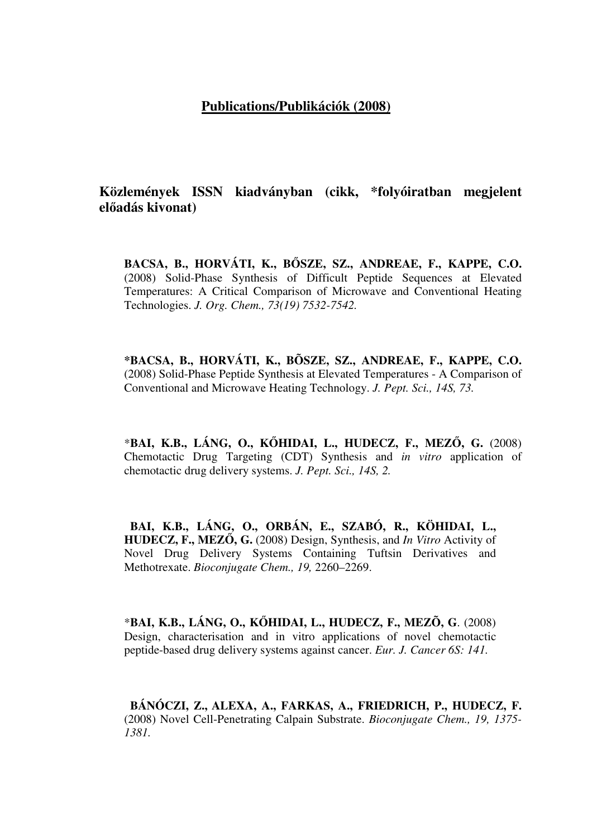## **Publications/Publikációk (2008)**

**Közlemények ISSN kiadványban (cikk, \*folyóiratban megjelent el**ő**adás kivonat)**

**BACSA, B., HORVÁTI, K., B**Ő**SZE, SZ., ANDREAE, F., KAPPE, C.O.**  (2008) Solid-Phase Synthesis of Difficult Peptide Sequences at Elevated Temperatures: A Critical Comparison of Microwave and Conventional Heating Technologies. *J. Org. Chem., 73(19) 7532-7542.*

**\*BACSA, B., HORVÁTI, K., BÕSZE, SZ., ANDREAE, F., KAPPE, C.O.** (2008) Solid-Phase Peptide Synthesis at Elevated Temperatures - A Comparison of Conventional and Microwave Heating Technology. *J. Pept. Sci., 14S, 73.*

\***BAI, K.B., LÁNG, O., K**Ő**HIDAI, L., HUDECZ, F., MEZ**Ő**, G.** (2008) Chemotactic Drug Targeting (CDT) Synthesis and *in vitro* application of chemotactic drug delivery systems. *J. Pept. Sci., 14S, 2.*

 **BAI, K.B., LÁNG, O., ORBÁN, E., SZABÓ, R., KÖHIDAI, L., HUDECZ, F., MEZ**Ő**, G.** (2008) Design, Synthesis, and *In Vitro* Activity of Novel Drug Delivery Systems Containing Tuftsin Derivatives and Methotrexate. *Bioconjugate Chem., 19,* 2260–2269.

\***BAI, K.B., LÁNG, O., K**Ő**HIDAI, L., HUDECZ, F., MEZÕ, G**. (2008) Design, characterisation and in vitro applications of novel chemotactic peptide-based drug delivery systems against cancer. *Eur. J. Cancer 6S: 141.*

 **BÁNÓCZI, Z., ALEXA, A., FARKAS, A., FRIEDRICH, P., HUDECZ, F.** (2008) Novel Cell-Penetrating Calpain Substrate. *Bioconjugate Chem., 19, 1375- 1381.*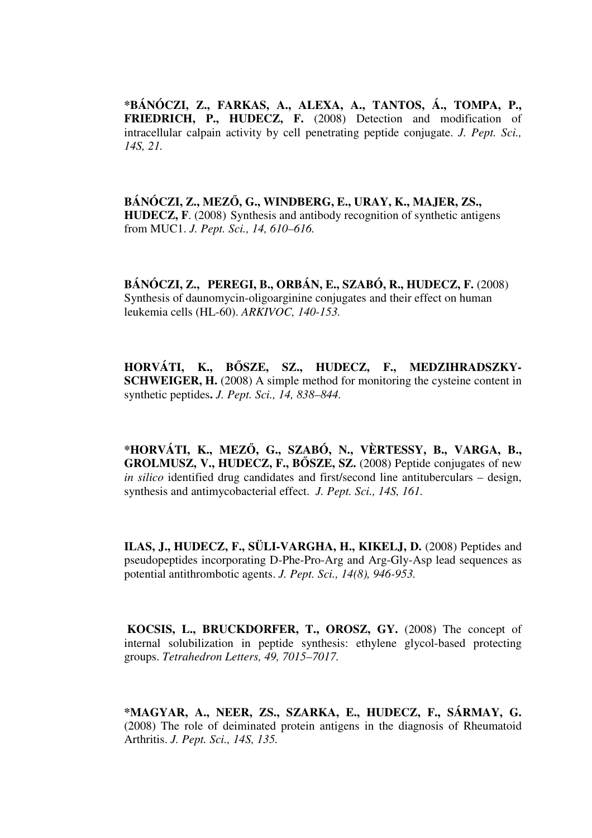**\*BÁNÓCZI, Z., FARKAS, A., ALEXA, A., TANTOS, Á., TOMPA, P., FRIEDRICH, P., HUDECZ, F.** (2008) Detection and modification of intracellular calpain activity by cell penetrating peptide conjugate. *J. Pept. Sci., 14S, 21.*

**BÁNÓCZI, Z., MEZ**Ő**, G., WINDBERG, E., URAY, K., MAJER, ZS., HUDECZ, F**. (2008) Synthesis and antibody recognition of synthetic antigens from MUC1. *J. Pept. Sci., 14, 610–616.*

**BÁNÓCZI, Z., PEREGI, B., ORBÁN, E., SZABÓ, R., HUDECZ, F.** (2008) Synthesis of daunomycin-oligoarginine conjugates and their effect on human leukemia cells (HL-60). *ARKIVOC, 140-153.*

**HORVÁTI, K., B**Ő**SZE, SZ., HUDECZ, F., MEDZIHRADSZKY-SCHWEIGER, H.** (2008) A simple method for monitoring the cysteine content in synthetic peptides**.** *J. Pept. Sci., 14, 838–844.*

**\*HORVÁTI, K., MEZ**Ő**, G., SZABÓ, N., VÈRTESSY, B., VARGA, B., GROLMUSZ, V., HUDECZ, F., B**Ő**SZE, SZ.** (2008) Peptide conjugates of new *in silico* identified drug candidates and first/second line antituberculars – design, synthesis and antimycobacterial effect. *J. Pept. Sci., 14S, 161.* 

**ILAS, J., HUDECZ, F., SÜLI-VARGHA, H., KIKELJ, D.** (2008) Peptides and pseudopeptides incorporating D-Phe-Pro-Arg and Arg-Gly-Asp lead sequences as potential antithrombotic agents. *J. Pept. Sci., 14(8), 946-953.*

**KOCSIS, L., BRUCKDORFER, T., OROSZ, GY.** (2008) The concept of internal solubilization in peptide synthesis: ethylene glycol-based protecting groups. *Tetrahedron Letters, 49, 7015–7017.*

**\*MAGYAR, A., NEER, ZS., SZARKA, E., HUDECZ, F., SÁRMAY, G.**  (2008) The role of deiminated protein antigens in the diagnosis of Rheumatoid Arthritis. *J. Pept. Sci., 14S, 135.*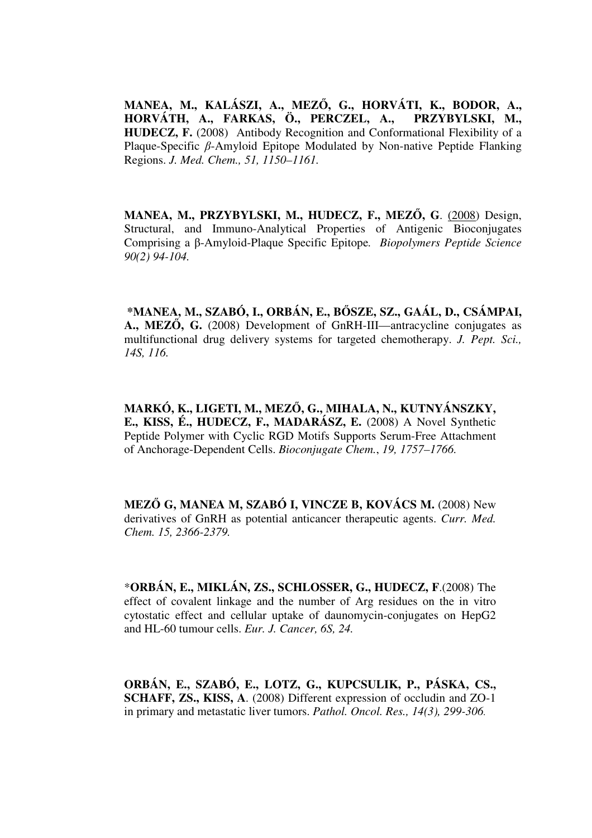**MANEA, M., KALÁSZI, A., MEZ**Ő**, G., HORVÁTI, K., BODOR, A., HORVÁTH, A., FARKAS, Ö., PERCZEL, A., PRZYBYLSKI, M., HUDECZ, F.** (2008) Antibody Recognition and Conformational Flexibility of a Plaque-Specific β-Amyloid Epitope Modulated by Non-native Peptide Flanking Regions. *J. Med. Chem., 51, 1150–1161.*

**MANEA, M., PRZYBYLSKI, M., HUDECZ, F., MEZ**Ő**, G**. (2008) Design, Structural, and Immuno-Analytical Properties of Antigenic Bioconjugates Comprising a β-Amyloid-Plaque Specific Epitope*. Biopolymers Peptide Science 90(2) 94-104.*

 **\*MANEA, M., SZABÓ, I., ORBÁN, E., B**Ő**SZE, SZ., GAÁL, D., CSÁMPAI, A., MEZ**Ő**, G.** (2008) Development of GnRH-III—antracycline conjugates as multifunctional drug delivery systems for targeted chemotherapy. *J. Pept. Sci., 14S, 116.*

**MARKÓ, K., LIGETI, M., MEZ**Ő**, G., MIHALA, N., KUTNYÁNSZKY, E., KISS, É., HUDECZ, F., MADARÁSZ, E.** (2008) A Novel Synthetic Peptide Polymer with Cyclic RGD Motifs Supports Serum-Free Attachment of Anchorage-Dependent Cells. *Bioconjugate Chem.*, *19, 1757–1766.*

**MEZ**Ő **G, MANEA M, SZABÓ I, VINCZE B, KOVÁCS M.** (2008) New derivatives of GnRH as potential anticancer therapeutic agents. *Curr. Med. Chem. 15, 2366-2379.*

\***ORBÁN, E., MIKLÁN, ZS., SCHLOSSER, G., HUDECZ, F**.(2008) The effect of covalent linkage and the number of Arg residues on the in vitro cytostatic effect and cellular uptake of daunomycin-conjugates on HepG2 and HL-60 tumour cells. *Eur. J. Cancer, 6S, 24.*

**ORBÁN, E., SZABÓ, E., LOTZ, G., KUPCSULIK, P., PÁSKA, CS., SCHAFF, ZS., KISS, A**. (2008) Different expression of occludin and ZO-1 in primary and metastatic liver tumors. *Pathol. Oncol. Res., 14(3), 299-306.*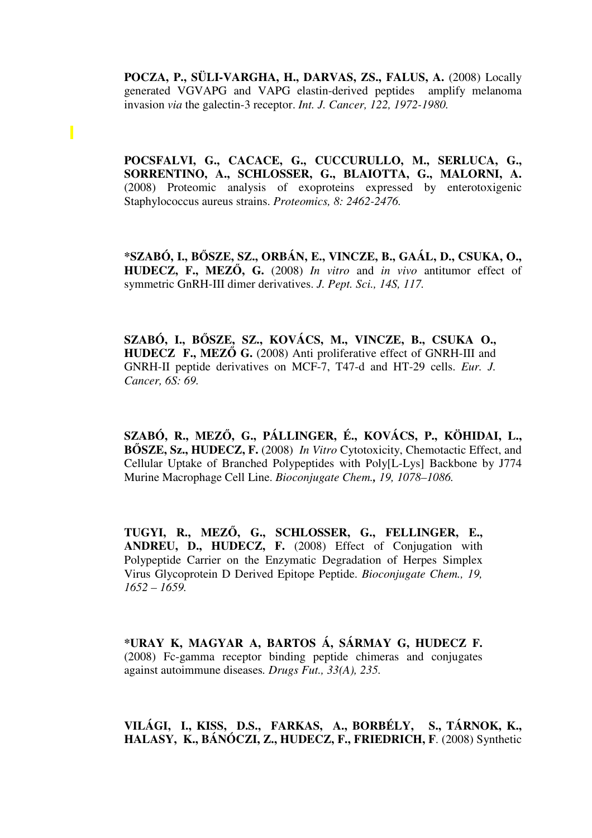POCZA, P., SÜLI-VARGHA, H., DARVAS, ZS., FALUS, A. (2008) Locally generated VGVAPG and VAPG elastin-derived peptides amplify melanoma invasion *via* the galectin-3 receptor. *Int. J. Cancer, 122, 1972-1980.* 

Π

**POCSFALVI, G., CACACE, G., CUCCURULLO, M., SERLUCA, G., SORRENTINO, A., SCHLOSSER, G., BLAIOTTA, G., MALORNI, A.**  (2008) Proteomic analysis of exoproteins expressed by enterotoxigenic Staphylococcus aureus strains. *Proteomics, 8: 2462-2476.*

**\*SZABÓ, I., B**Ő**SZE, SZ., ORBÁN, E., VINCZE, B., GAÁL, D., CSUKA, O., HUDECZ, F., MEZ**Ő**, G.** (2008) *In vitro* and *in vivo* antitumor effect of symmetric GnRH-III dimer derivatives. *J. Pept. Sci., 14S, 117.*

**SZABÓ, I., B**Ő**SZE, SZ., KOVÁCS, M., VINCZE, B., CSUKA O., HUDECZ F., MEZ**Ő **G.** (2008) Anti proliferative effect of GNRH-III and GNRH-II peptide derivatives on MCF-7, T47-d and HT-29 cells. *Eur. J. Cancer, 6S: 69.*

**SZABÓ, R., MEZ**Ő**, G., PÁLLINGER, É., KOVÁCS, P., KÖHIDAI, L., B**Ő**SZE, Sz., HUDECZ, F.** (2008) *In Vitro* Cytotoxicity, Chemotactic Effect, and Cellular Uptake of Branched Polypeptides with Poly[L-Lys] Backbone by J774 Murine Macrophage Cell Line. *Bioconjugate Chem., 19, 1078–1086.*

**TUGYI, R., MEZ**Ő**, G., SCHLOSSER, G., FELLINGER, E., ANDREU, D., HUDECZ, F.** (2008) Effect of Conjugation with Polypeptide Carrier on the Enzymatic Degradation of Herpes Simplex Virus Glycoprotein D Derived Epitope Peptide. *Bioconjugate Chem., 19, 1652 – 1659.*

**\*URAY K, MAGYAR A, BARTOS Á, SÁRMAY G, HUDECZ F.**  (2008) Fc-gamma receptor binding peptide chimeras and conjugates against autoimmune diseases*. Drugs Fut., 33(A), 235.* 

## **VILÁGI, I., KISS, D.S., FARKAS, A., BORBÉLY, S., TÁRNOK, K., HALASY, K., BÁNÓCZI, Z., HUDECZ, F., FRIEDRICH, F**. (2008) Synthetic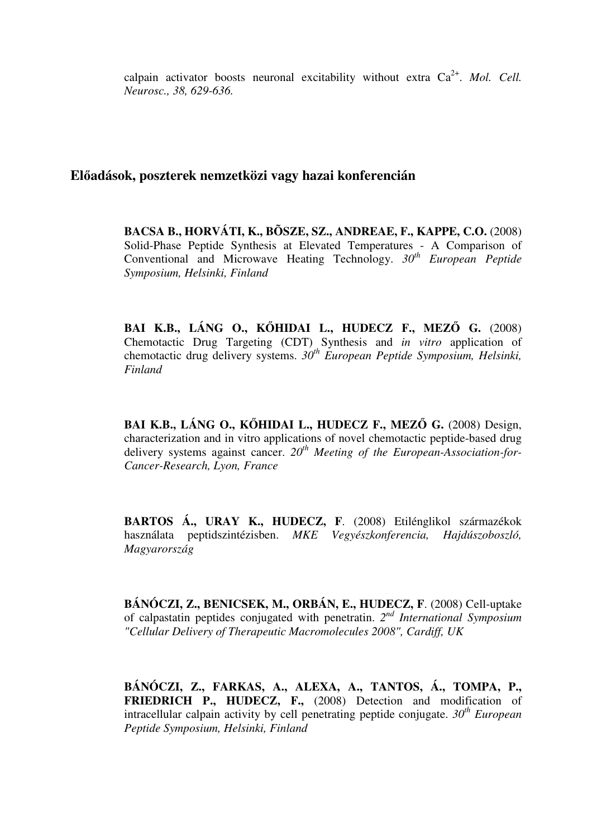calpain activator boosts neuronal excitability without extra  $Ca^{2+}$ . *Mol. Cell. Neurosc., 38, 629-636.*

## **El**ő**adások, poszterek nemzetközi vagy hazai konferencián**

**BACSA B., HORVÁTI, K., BÕSZE, SZ., ANDREAE, F., KAPPE, C.O.** (2008) Solid-Phase Peptide Synthesis at Elevated Temperatures - A Comparison of Conventional and Microwave Heating Technology. *30th European Peptide Symposium, Helsinki, Finland*

**BAI K.B., LÁNG O., K**Ő**HIDAI L., HUDECZ F., MEZ**Ő **G.** (2008) Chemotactic Drug Targeting (CDT) Synthesis and *in vitro* application of chemotactic drug delivery systems. *30th European Peptide Symposium, Helsinki, Finland*

**BAI K.B., LÁNG O., K**Ő**HIDAI L., HUDECZ F., MEZ**Ő **G.** (2008) Design, characterization and in vitro applications of novel chemotactic peptide-based drug delivery systems against cancer. *20th Meeting of the European-Association-for-Cancer-Research, Lyon, France*

**BARTOS Á., URAY K., HUDECZ, F**. (2008) Etilénglikol származékok használata peptidszintézisben. *MKE Vegyészkonferencia, Hajdúszoboszló, Magyarország*

**BÁNÓCZI, Z., BENICSEK, M., ORBÁN, E., HUDECZ, F**. (2008) Cell-uptake of calpastatin peptides conjugated with penetratin. *2 nd International Symposium "Cellular Delivery of Therapeutic Macromolecules 2008", Cardiff, UK*

**BÁNÓCZI, Z., FARKAS, A., ALEXA, A., TANTOS, Á., TOMPA, P., FRIEDRICH P., HUDECZ, F.,** (2008) Detection and modification of intracellular calpain activity by cell penetrating peptide conjugate. *30th European Peptide Symposium, Helsinki, Finland*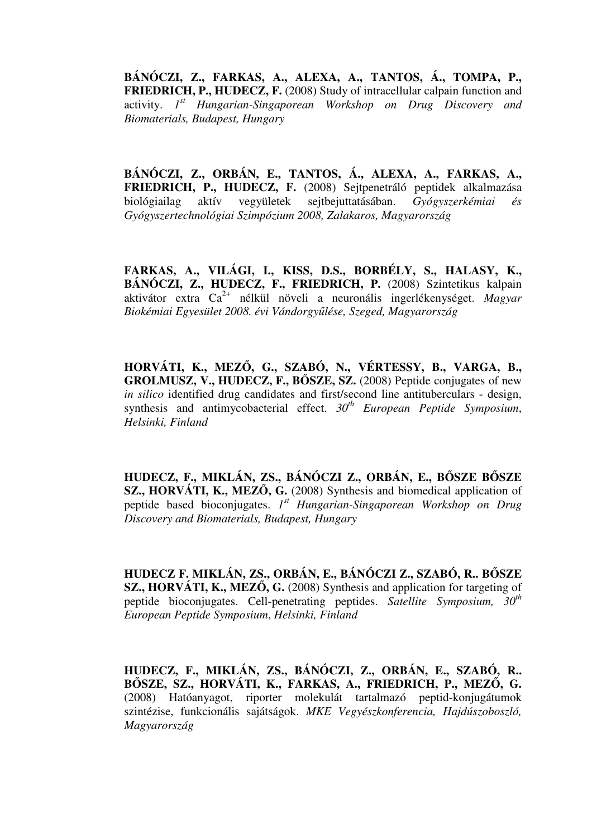**BÁNÓCZI, Z., FARKAS, A., ALEXA, A., TANTOS, Á., TOMPA, P., FRIEDRICH, P., HUDECZ, F.** (2008) Study of intracellular calpain function and activity. *1 st Hungarian-Singaporean Workshop on Drug Discovery and Biomaterials, Budapest, Hungary*

**BÁNÓCZI, Z., ORBÁN, E., TANTOS, Á., ALEXA, A., FARKAS, A., FRIEDRICH, P., HUDECZ, F.** (2008) Sejtpenetráló peptidek alkalmazása biológiailag aktív vegyületek sejtbejuttatásában. *Gyógyszerkémiai és Gyógyszertechnológiai Szimpózium 2008, Zalakaros, Magyarország*

**FARKAS, A., VILÁGI, I., KISS, D.S., BORBÉLY, S., HALASY, K., BÁNÓCZI, Z., HUDECZ, F., FRIEDRICH, P.** (2008) Szintetikus kalpain aktivátor extra Ca2+ nélkül növeli a neuronális ingerlékenységet. *Magyar Biokémiai Egyesület 2008. évi Vándorgy*ű*lése, Szeged, Magyarország*

**HORVÁTI, K., MEZ**Ő**, G., SZABÓ, N., VÉRTESSY, B., VARGA, B., GROLMUSZ, V., HUDECZ, F., B**Ő**SZE, SZ.** (2008) Peptide conjugates of new *in silico* identified drug candidates and first/second line antituberculars - design, synthesis and antimycobacterial effect. *30th European Peptide Symposium*, *Helsinki, Finland*

**HUDECZ, F., MIKLÁN, ZS., BÁNÓCZI Z., ORBÁN, E., B**Ő**SZE B**Ő**SZE SZ., HORVÁTI, K., MEZ**Ő**, G.** (2008) Synthesis and biomedical application of peptide based bioconjugates. *1 st Hungarian-Singaporean Workshop on Drug Discovery and Biomaterials, Budapest, Hungary* 

**HUDECZ F. MIKLÁN, ZS., ORBÁN, E., BÁNÓCZI Z., SZABÓ, R.. B**Ő**SZE SZ., HORVÁTI, K., MEZ**Ő**, G.** (2008) Synthesis and application for targeting of peptide bioconjugates. Cell-penetrating peptides. *Satellite Symposium, 30th European Peptide Symposium*, *Helsinki, Finland*

**HUDECZ, F., MIKLÁN, ZS., BÁNÓCZI, Z., ORBÁN, E., SZABÓ, R.. B**Ő**SZE, SZ., HORVÁTI, K., FARKAS, A., FRIEDRICH, P., MEZ**Ő**, G.** (2008) Hatóanyagot, riporter molekulát tartalmazó peptid-konjugátumok szintézise, funkcionális sajátságok. *MKE Vegyészkonferencia, Hajdúszoboszló, Magyarország*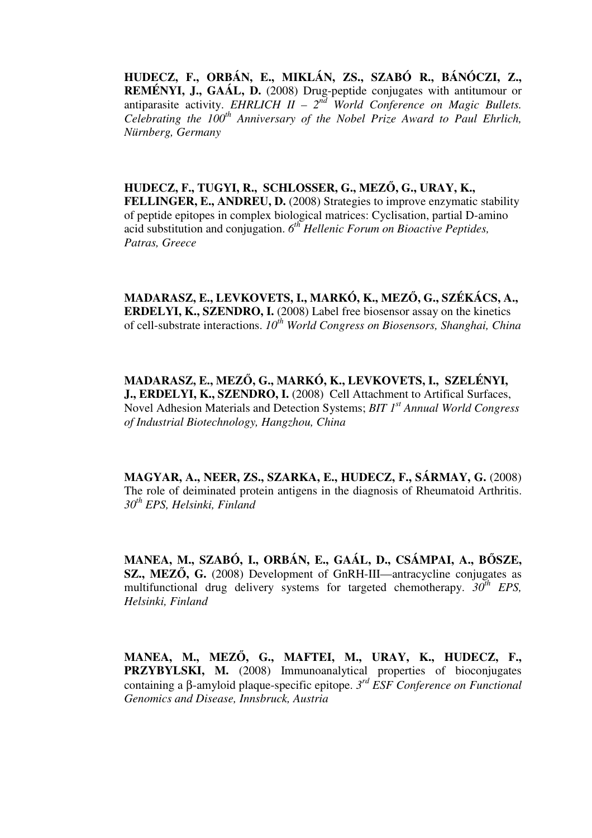**HUDECZ, F., ORBÁN, E., MIKLÁN, ZS., SZABÓ R., BÁNÓCZI, Z., REMÉNYI, J., GAÁL, D.** (2008) Drug-peptide conjugates with antitumour or antiparasite activity. *EHRLICH II –*  $2<sup>nd</sup>$  *World Conference on Magic Bullets. Celebrating the 100th Anniversary of the Nobel Prize Award to Paul Ehrlich, Nürnberg, Germany*

**HUDECZ, F., TUGYI, R., SCHLOSSER, G., MEZ**Ő**, G., URAY, K., FELLINGER, E., ANDREU, D.** (2008) Strategies to improve enzymatic stability of peptide epitopes in complex biological matrices: Cyclisation, partial D-amino acid substitution and conjugation. *6 th Hellenic Forum on Bioactive Peptides, Patras, Greece*

**MADARASZ, E., LEVKOVETS, I., MARKÓ, K., MEZ**Ő**, G., SZÉKÁCS, A., ERDELYI, K., SZENDRO, I.** (2008) Label free biosensor assay on the kinetics of cell-substrate interactions. *10th World Congress on Biosensors, Shanghai, China*

**MADARASZ, E., MEZ**Ő**, G., MARKÓ, K., LEVKOVETS, I., SZELÉNYI, J., ERDELYI, K., SZENDRO, I.** (2008) Cell Attachment to Artifical Surfaces, Novel Adhesion Materials and Detection Systems; *BIT 1st Annual World Congress of Industrial Biotechnology, Hangzhou, China*

**MAGYAR, A., NEER, ZS., SZARKA, E., HUDECZ, F., SÁRMAY, G. (2008)** The role of deiminated protein antigens in the diagnosis of Rheumatoid Arthritis. *30th EPS, Helsinki, Finland*

**MANEA, M., SZABÓ, I., ORBÁN, E., GAÁL, D., CSÁMPAI, A., B**Ő**SZE, SZ., MEZ**Ő**, G.** (2008) Development of GnRH-III—antracycline conjugates as multifunctional drug delivery systems for targeted chemotherapy.  $30^{th}$  *EPS*, *Helsinki, Finland*

**MANEA, M., MEZ**Ő**, G., MAFTEI, M., URAY, K., HUDECZ, F., PRZYBYLSKI, M.** (2008) Immunoanalytical properties of bioconjugates containing a β-amyloid plaque-specific epitope. *3 rd ESF Conference on Functional Genomics and Disease, Innsbruck, Austria*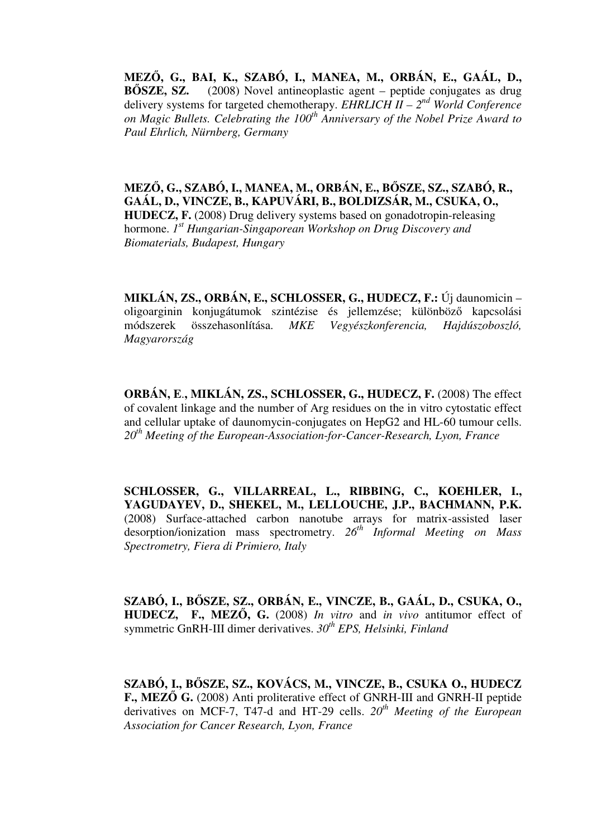**MEZ**Ő**, G., BAI, K., SZABÓ, I., MANEA, M., ORBÁN, E., GAÁL, D., B**Ő**SZE, SZ.** (2008) Novel antineoplastic agent – peptide conjugates as drug delivery systems for targeted chemotherapy. *EHRLICH II – 2nd World Conference on Magic Bullets. Celebrating the 100th Anniversary of the Nobel Prize Award to Paul Ehrlich, Nürnberg, Germany*

**MEZ**Ő**, G., SZABÓ, I., MANEA, M., ORBÁN, E., B**Ő**SZE, SZ., SZABÓ, R., GAÁL, D., VINCZE, B., KAPUVÁRI, B., BOLDIZSÁR, M., CSUKA, O., HUDECZ, F.** (2008) Drug delivery systems based on gonadotropin-releasing hormone. *1 st Hungarian-Singaporean Workshop on Drug Discovery and Biomaterials, Budapest, Hungary*

**MIKLÁN, ZS., ORBÁN, E., SCHLOSSER, G., HUDECZ, F.:** Új daunomicin – oligoarginin konjugátumok szintézise és jellemzése; különböző kapcsolási módszerek összehasonlítása. *MKE Vegyészkonferencia, Hajdúszoboszló, Magyarország*

**ORBÁN, E**.**, MIKLÁN, ZS., SCHLOSSER, G., HUDECZ, F.** (2008) The effect of covalent linkage and the number of Arg residues on the in vitro cytostatic effect and cellular uptake of daunomycin-conjugates on HepG2 and HL-60 tumour cells. *20th Meeting of the European-Association-for-Cancer-Research, Lyon, France* 

**SCHLOSSER, G., VILLARREAL, L., RIBBING, C., KOEHLER, I., YAGUDAYEV, D., SHEKEL, M., LELLOUCHE, J.P., BACHMANN, P.K.**  (2008) Surface-attached carbon nanotube arrays for matrix-assisted laser desorption/ionization mass spectrometry. *26th Informal Meeting on Mass Spectrometry, Fiera di Primiero, Italy*

**SZABÓ, I., B**Ő**SZE, SZ., ORBÁN, E., VINCZE, B., GAÁL, D., CSUKA, O., HUDECZ, F., MEZ**Ő**, G.** (2008) *In vitro* and *in vivo* antitumor effect of symmetric GnRH-III dimer derivatives. *30th EPS, Helsinki, Finland*

**SZABÓ, I., B**Ő**SZE, SZ., KOVÁCS, M., VINCZE, B., CSUKA O., HUDECZ F., MEZ**Ő **G.** (2008) Anti proliterative effect of GNRH-III and GNRH-II peptide derivatives on MCF-7, T47-d and HT-29 cells. *20th Meeting of the European Association for Cancer Research, Lyon, France*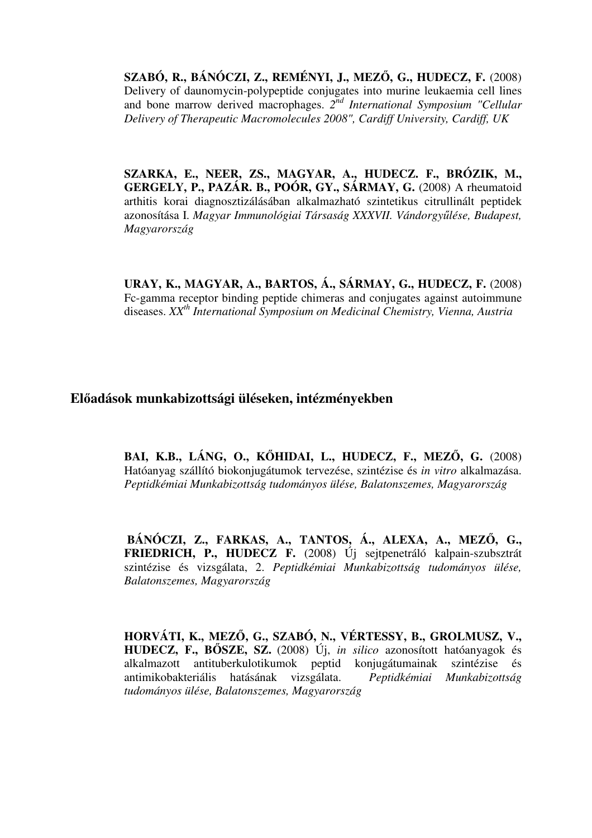**SZABÓ, R., BÁNÓCZI, Z., REMÉNYI, J., MEZ**Ő**, G., HUDECZ, F.** (2008) Delivery of daunomycin-polypeptide conjugates into murine leukaemia cell lines and bone marrow derived macrophages. *2 nd International Symposium "Cellular Delivery of Therapeutic Macromolecules 2008", Cardiff University, Cardiff, UK*

**SZARKA, E., NEER, ZS., MAGYAR, A., HUDECZ. F., BRÓZIK, M., GERGELY, P., PAZÁR. B., POÓR, GY., SÁRMAY, G.** (2008) A rheumatoid arthitis korai diagnosztizálásában alkalmazható szintetikus citrullinált peptidek azonosítása I. *Magyar Immunológiai Társaság XXXVII. Vándorgy*ű*lése, Budapest, Magyarország*

**URAY, K., MAGYAR, A., BARTOS, Á., SÁRMAY, G., HUDECZ, F.** (2008) Fc-gamma receptor binding peptide chimeras and conjugates against autoimmune diseases. *XXth International Symposium on Medicinal Chemistry, Vienna, Austria*

**El**ő**adások munkabizottsági üléseken, intézményekben**

**BAI, K.B., LÁNG, O., K**Ő**HIDAI, L., HUDECZ, F., MEZ**Ő**, G.** (2008) Hatóanyag szállító biokonjugátumok tervezése, szintézise és *in vitro* alkalmazása. *Peptidkémiai Munkabizottság tudományos ülése, Balatonszemes, Magyarország*

**BÁNÓCZI, Z., FARKAS, A., TANTOS, Á., ALEXA, A., MEZ**Ő**, G., FRIEDRICH, P., HUDECZ F.** (2008) Új sejtpenetráló kalpain-szubsztrát szintézise és vizsgálata, 2. *Peptidkémiai Munkabizottság tudományos ülése, Balatonszemes, Magyarország*

**HORVÁTI, K., MEZ**Ő**, G., SZABÓ, N., VÉRTESSY, B., GROLMUSZ, V., HUDECZ, F., B**Ő**SZE, SZ.** (2008) Új, *in silico* azonosított hatóanyagok és alkalmazott antituberkulotikumok peptid konjugátumainak szintézise és antimikobakteriális hatásának vizsgálata. *Peptidkémiai Munkabizottság tudományos ülése, Balatonszemes, Magyarország*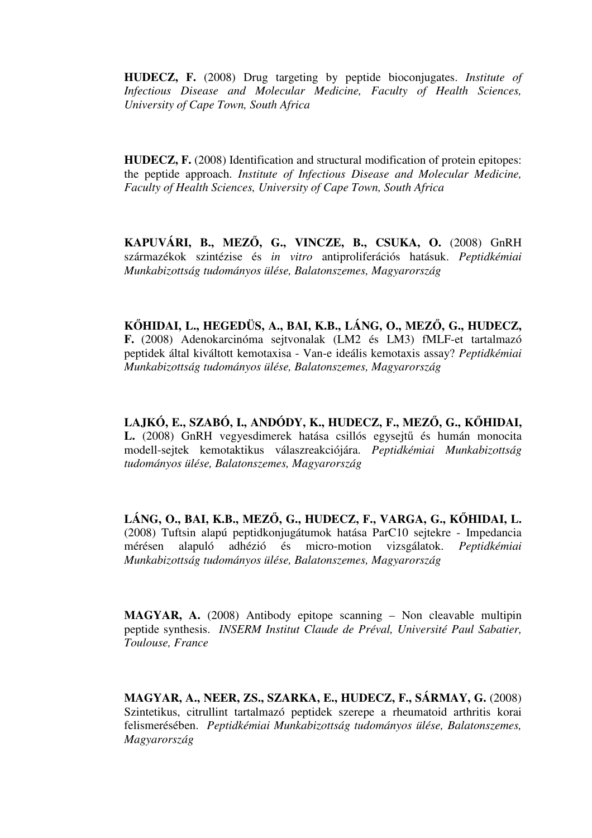**HUDECZ, F.** (2008) Drug targeting by peptide bioconjugates. *Institute of Infectious Disease and Molecular Medicine, Faculty of Health Sciences, University of Cape Town, South Africa* 

**HUDECZ, F.** (2008) Identification and structural modification of protein epitopes: the peptide approach. *Institute of Infectious Disease and Molecular Medicine, Faculty of Health Sciences, University of Cape Town, South Africa* 

**KAPUVÁRI, B., MEZ**Ő**, G., VINCZE, B., CSUKA, O.** (2008) GnRH származékok szintézise és *in vitro* antiproliferációs hatásuk. *Peptidkémiai Munkabizottság tudományos ülése, Balatonszemes, Magyarország*

**K**Ő**HIDAI, L., HEGEDÜS, A., BAI, K.B., LÁNG, O., MEZ**Ő**, G., HUDECZ, F.** (2008) Adenokarcinóma sejtvonalak (LM2 és LM3) fMLF-et tartalmazó peptidek által kiváltott kemotaxisa - Van-e ideális kemotaxis assay? *Peptidkémiai Munkabizottság tudományos ülése, Balatonszemes, Magyarország*

**LAJKÓ, E., SZABÓ, I., ANDÓDY, K., HUDECZ, F., MEZ**Ő**, G., K**Ő**HIDAI, L.** (2008) GnRH vegyesdimerek hatása csillós egysejtű és humán monocita modell-sejtek kemotaktikus válaszreakciójára. *Peptidkémiai Munkabizottság tudományos ülése, Balatonszemes, Magyarország*

**LÁNG, O., BAI, K.B., MEZ**Ő**, G., HUDECZ, F., VARGA, G., K**Ő**HIDAI, L.** (2008) Tuftsin alapú peptidkonjugátumok hatása ParC10 sejtekre - Impedancia mérésen alapuló adhézió és micro-motion vizsgálatok. *Peptidkémiai Munkabizottság tudományos ülése, Balatonszemes, Magyarország*

**MAGYAR, A.** (2008) Antibody epitope scanning – Non cleavable multipin peptide synthesis. *INSERM Institut Claude de Préval, Université Paul Sabatier, Toulouse, France*

**MAGYAR, A., NEER, ZS., SZARKA, E., HUDECZ, F., SÁRMAY, G.** (2008) Szintetikus, citrullint tartalmazó peptidek szerepe a rheumatoid arthritis korai felismerésében. *Peptidkémiai Munkabizottság tudományos ülése, Balatonszemes, Magyarország*